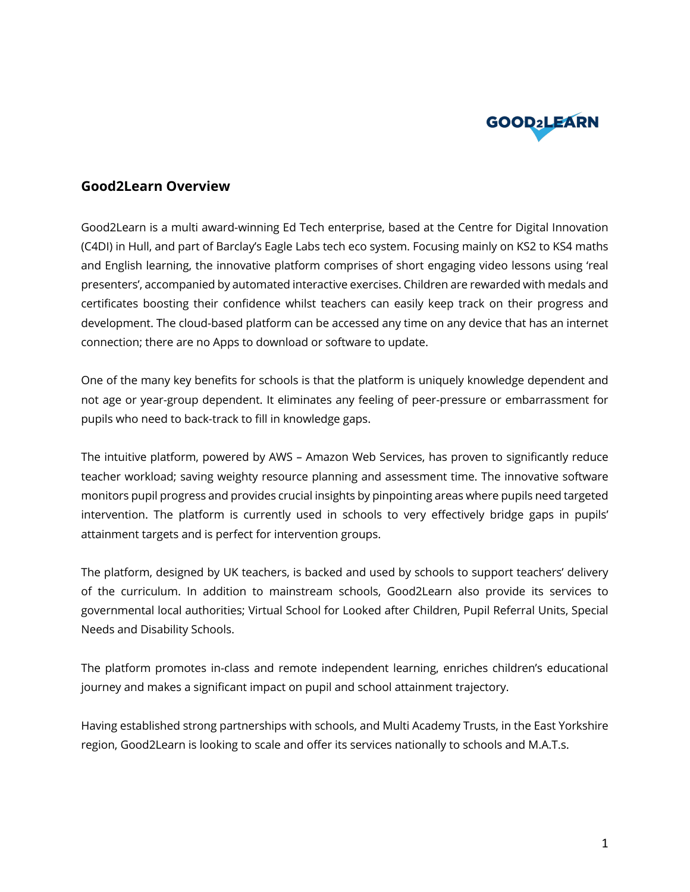

## **Good2Learn Overview**

Good2Learn is a multi award-winning Ed Tech enterprise, based at the Centre for Digital Innovation (C4DI) in Hull, and part of Barclay's Eagle Labs tech eco system. Focusing mainly on KS2 to KS4 maths and English learning, the innovative platform comprises of short engaging video lessons using 'real presenters', accompanied by automated interactive exercises. Children are rewarded with medals and certificates boosting their confidence whilst teachers can easily keep track on their progress and development. The cloud-based platform can be accessed any time on any device that has an internet connection; there are no Apps to download or software to update.

One of the many key benefits for schools is that the platform is uniquely knowledge dependent and not age or year-group dependent. It eliminates any feeling of peer-pressure or embarrassment for pupils who need to back-track to fill in knowledge gaps.

The intuitive platform, powered by AWS – Amazon Web Services, has proven to significantly reduce teacher workload; saving weighty resource planning and assessment time. The innovative software monitors pupil progress and provides crucial insights by pinpointing areas where pupils need targeted intervention. The platform is currently used in schools to very effectively bridge gaps in pupils' attainment targets and is perfect for intervention groups.

The platform, designed by UK teachers, is backed and used by schools to support teachers' delivery of the curriculum. In addition to mainstream schools, Good2Learn also provide its services to governmental local authorities; Virtual School for Looked after Children, Pupil Referral Units, Special Needs and Disability Schools.

The platform promotes in-class and remote independent learning, enriches children's educational journey and makes a significant impact on pupil and school attainment trajectory.

Having established strong partnerships with schools, and Multi Academy Trusts, in the East Yorkshire region, Good2Learn is looking to scale and offer its services nationally to schools and M.A.T.s.